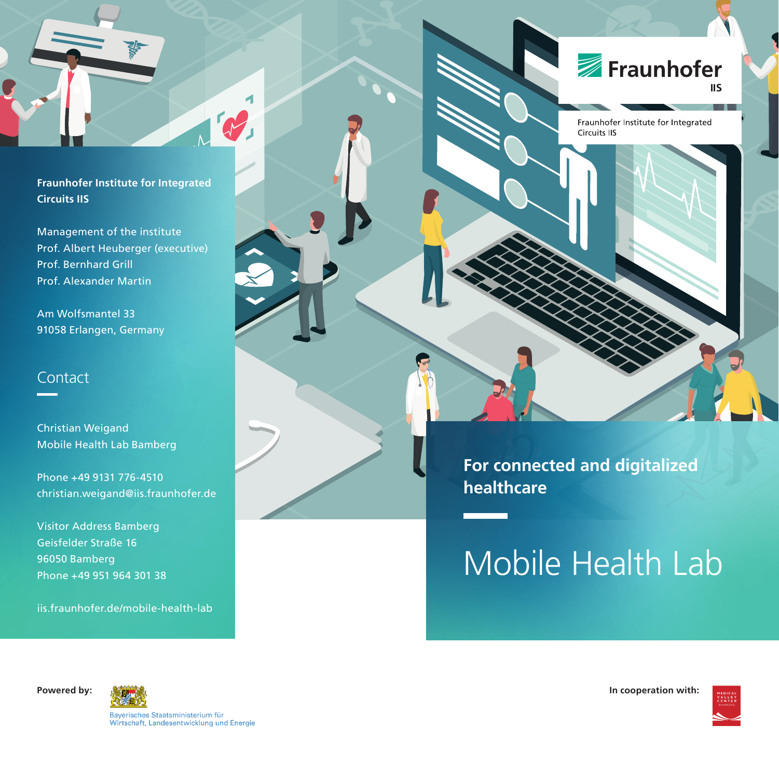**Fraunhofer Institute for Integrated Circuits IIS**

NB

Management of the institute Prof. Albert Heuberger (executive) Prof. Bernhard Grill Prof. Alexander Martin

Am Wolfsmantel 33 91058 Erlangen, Germany

### **Contact**

Christian Weigand Mobile Health Lab Bamberg

Phone +49 9131 776-4510 christian.weigand@iis.fraunhofer.de

Visitor Address Bamberg Geisfelder Straße 16 96050 Bamberg Phone +49 951 964 301 38

<iis.fraunhofer.de/mobile-health-lab>

Fraunhofer **IIS** 

Fraunhofer Institute for Integrated **Circuits IIS** 

**For connected and digitalized healthcare**

# Mobile Health Lab



Bayerisches Staatsministerium für Wirtschaft, Landesentwicklung und Energie

**Powered by: In cooperation with:** the component of the control of the control of the control of the control of the control of the control of the control of the control of the control of the control of the control of the